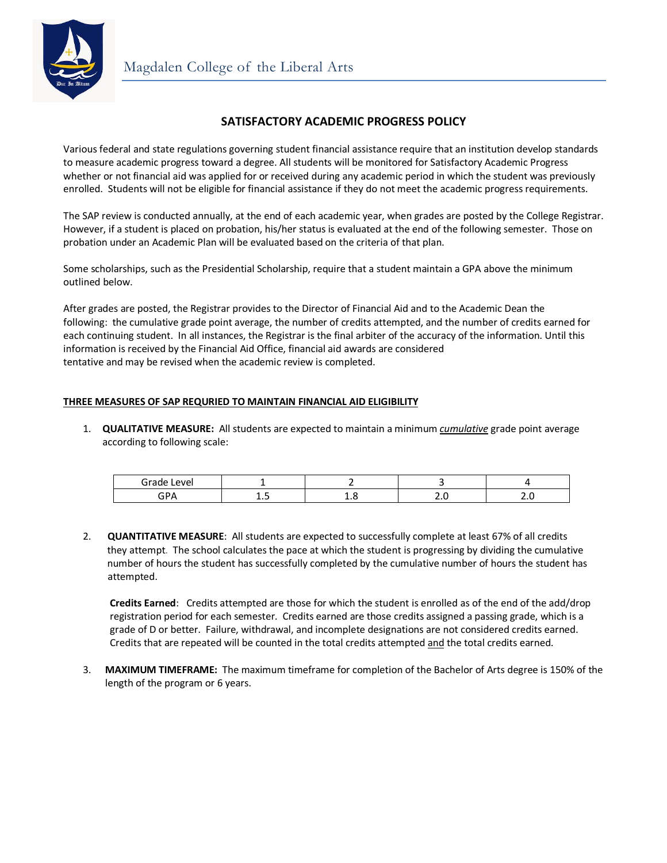

# **SATISFACTORY ACADEMIC PROGRESS POLICY**

Various federal and state regulations governing student financial assistance require that an institution develop standards to measure academic progress toward a degree. All students will be monitored for Satisfactory Academic Progress whether or not financial aid was applied for or received during any academic period in which the student was previously enrolled. Students will not be eligible for financial assistance if they do not meet the academic progress requirements.

The SAP review is conducted annually, at the end of each academic year, when grades are posted by the College Registrar. However, if a student is placed on probation, his/her status is evaluated at the end of the following semester. Those on probation under an Academic Plan will be evaluated based on the criteria of that plan.

Some scholarships, such as the Presidential Scholarship, require that a student maintain a GPA above the minimum outlined below.

After grades are posted, the Registrar provides to the Director of Financial Aid and to the Academic Dean the following: the cumulative grade point average, the number of credits attempted, and the number of credits earned for each continuing student. In all instances, the Registrar is the final arbiter of the accuracy of the information. Until this information is received by the Financial Aid Office, financial aid awards are considered tentative and may be revised when the academic review is completed.

## **THREE MEASURES OF SAP REQURIED TO MAINTAIN FINANCIAL AID ELIGIBILITY**

1. **QUALITATIVE MEASURE:** All students are expected to maintain a minimum *cumulative* grade point average according to following scale:

| Grade<br>AVAL<br>. |    |   |  |
|--------------------|----|---|--|
| $\sim$ n.          | -- | - |  |

2. **QUANTITATIVE MEASURE**: All students are expected to successfully complete at least 67% of all credits they attempt. The school calculates the pace at which the student is progressing by dividing the cumulative number of hours the student has successfully completed by the cumulative number of hours the student has attempted.

**Credits Earned**: Credits attempted are those for which the student is enrolled as of the end of the add/drop registration period for each semester. Credits earned are those credits assigned a passing grade, which is a grade of D or better. Failure, withdrawal, and incomplete designations are not considered credits earned. Credits that are repeated will be counted in the total credits attempted and the total credits earned.

3. **MAXIMUM TIMEFRAME:** The maximum timeframe for completion of the Bachelor of Arts degree is 150% of the length of the program or 6 years.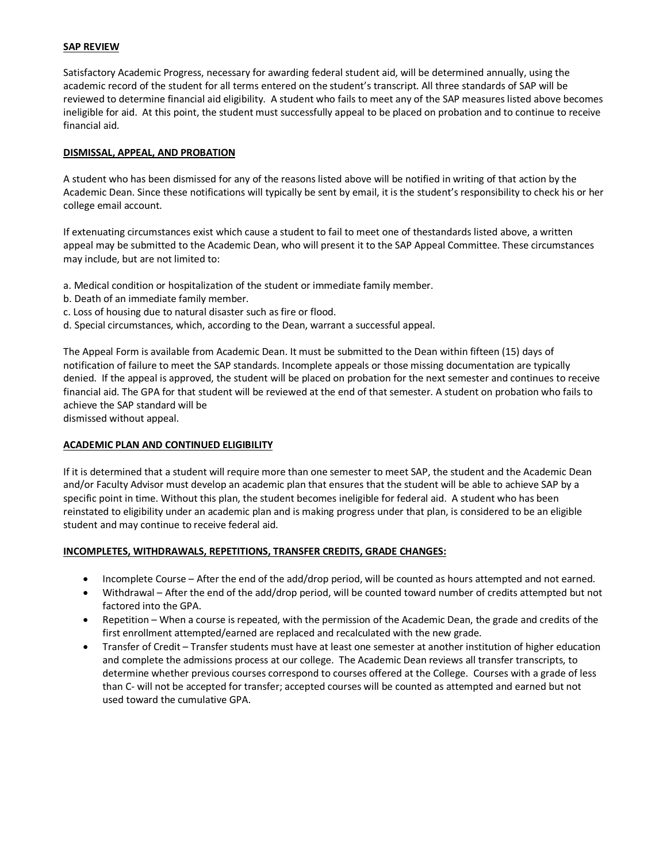## **SAP REVIEW**

Satisfactory Academic Progress, necessary for awarding federal student aid, will be determined annually, using the academic record of the student for all terms entered on the student's transcript. All three standards of SAP will be reviewed to determine financial aid eligibility. A student who fails to meet any of the SAP measures listed above becomes ineligible for aid. At this point, the student must successfully appeal to be placed on probation and to continue to receive financial aid.

#### **DISMISSAL, APPEAL, AND PROBATION**

A student who has been dismissed for any of the reasons listed above will be notified in writing of that action by the Academic Dean. Since these notifications will typically be sent by email, it is the student's responsibility to check his or her college email account.

If extenuating circumstances exist which cause a student to fail to meet one of thestandards listed above, a written appeal may be submitted to the Academic Dean, who will present it to the SAP Appeal Committee. These circumstances may include, but are not limited to:

a. Medical condition or hospitalization of the student or immediate family member.

- b. Death of an immediate family member.
- c. Loss of housing due to natural disaster such as fire or flood.
- d. Special circumstances, which, according to the Dean, warrant a successful appeal.

The Appeal Form is available from Academic Dean. It must be submitted to the Dean within fifteen (15) days of notification of failure to meet the SAP standards. Incomplete appeals or those missing documentation are typically denied. If the appeal is approved, the student will be placed on probation for the next semester and continues to receive financial aid. The GPA for that student will be reviewed at the end of that semester. A student on probation who fails to achieve the SAP standard will be

dismissed without appeal.

#### **ACADEMIC PLAN AND CONTINUED ELIGIBILITY**

If it is determined that a student will require more than one semester to meet SAP, the student and the Academic Dean and/or Faculty Advisor must develop an academic plan that ensures that the student will be able to achieve SAP by a specific point in time. Without this plan, the student becomes ineligible for federal aid. A student who has been reinstated to eligibility under an academic plan and is making progress under that plan, is considered to be an eligible student and may continue to receive federal aid.

#### **INCOMPLETES, WITHDRAWALS, REPETITIONS, TRANSFER CREDITS, GRADE CHANGES:**

- Incomplete Course After the end of the add/drop period, will be counted as hours attempted and not earned.
- Withdrawal After the end of the add/drop period, will be counted toward number of credits attempted but not factored into the GPA.
- Repetition When a course is repeated, with the permission of the Academic Dean, the grade and credits of the first enrollment attempted/earned are replaced and recalculated with the new grade.
- Transfer of Credit Transfer students must have at least one semester at another institution of higher education and complete the admissions process at our college. The Academic Dean reviews all transfer transcripts, to determine whether previous courses correspond to courses offered at the College. Courses with a grade of less than C- will not be accepted for transfer; accepted courses will be counted as attempted and earned but not used toward the cumulative GPA.